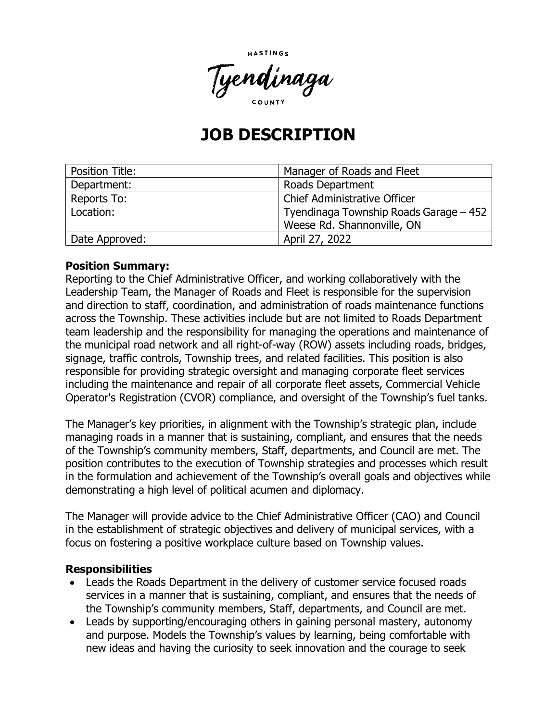

# **JOB DESCRIPTION**

| <b>Position Title:</b> | Manager of Roads and Fleet             |
|------------------------|----------------------------------------|
| Department:            | Roads Department                       |
| Reports To:            | <b>Chief Administrative Officer</b>    |
| Location:              | Tyendinaga Township Roads Garage – 452 |
|                        | Weese Rd. Shannonville, ON             |
| Date Approved:         | April 27, 2022                         |

#### **Position Summary:**

Reporting to the Chief Administrative Officer, and working collaboratively with the Leadership Team, the Manager of Roads and Fleet is responsible for the supervision and direction to staff, coordination, and administration of roads maintenance functions across the Township. These activities include but are not limited to Roads Department team leadership and the responsibility for managing the operations and maintenance of the municipal road network and all right-of-way (ROW) assets including roads, bridges, signage, traffic controls, Township trees, and related facilities. This position is also responsible for providing strategic oversight and managing corporate fleet services including the maintenance and repair of all corporate fleet assets, Commercial Vehicle Operator's Registration (CVOR) compliance, and oversight of the Township's fuel tanks.

The Manager's key priorities, in alignment with the Township's strategic plan, include managing roads in a manner that is sustaining, compliant, and ensures that the needs of the Township's community members, Staff, departments, and Council are met. The position contributes to the execution of Township strategies and processes which result in the formulation and achievement of the Township's overall goals and objectives while demonstrating a high level of political acumen and diplomacy.

The Manager will provide advice to the Chief Administrative Officer (CAO) and Council in the establishment of strategic objectives and delivery of municipal services, with a focus on fostering a positive workplace culture based on Township values.

#### **Responsibilities**

- Leads the Roads Department in the delivery of customer service focused roads services in a manner that is sustaining, compliant, and ensures that the needs of the Township's community members, Staff, departments, and Council are met.
- Leads by supporting/encouraging others in gaining personal mastery, autonomy and purpose. Models the Township's values by learning, being comfortable with new ideas and having the curiosity to seek innovation and the courage to seek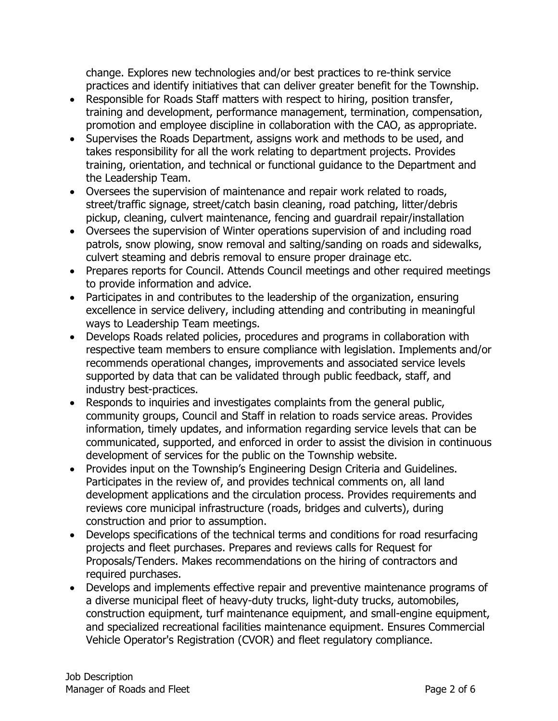change. Explores new technologies and/or best practices to re-think service practices and identify initiatives that can deliver greater benefit for the Township.

- Responsible for Roads Staff matters with respect to hiring, position transfer, training and development, performance management, termination, compensation, promotion and employee discipline in collaboration with the CAO, as appropriate.
- Supervises the Roads Department, assigns work and methods to be used, and takes responsibility for all the work relating to department projects. Provides training, orientation, and technical or functional guidance to the Department and the Leadership Team.
- Oversees the supervision of maintenance and repair work related to roads, street/traffic signage, street/catch basin cleaning, road patching, litter/debris pickup, cleaning, culvert maintenance, fencing and guardrail repair/installation
- Oversees the supervision of Winter operations supervision of and including road patrols, snow plowing, snow removal and salting/sanding on roads and sidewalks, culvert steaming and debris removal to ensure proper drainage etc.
- Prepares reports for Council. Attends Council meetings and other required meetings to provide information and advice.
- Participates in and contributes to the leadership of the organization, ensuring excellence in service delivery, including attending and contributing in meaningful ways to Leadership Team meetings.
- Develops Roads related policies, procedures and programs in collaboration with respective team members to ensure compliance with legislation. Implements and/or recommends operational changes, improvements and associated service levels supported by data that can be validated through public feedback, staff, and industry best-practices.
- Responds to inquiries and investigates complaints from the general public, community groups, Council and Staff in relation to roads service areas. Provides information, timely updates, and information regarding service levels that can be communicated, supported, and enforced in order to assist the division in continuous development of services for the public on the Township website.
- Provides input on the Township's Engineering Design Criteria and Guidelines. Participates in the review of, and provides technical comments on, all land development applications and the circulation process. Provides requirements and reviews core municipal infrastructure (roads, bridges and culverts), during construction and prior to assumption.
- Develops specifications of the technical terms and conditions for road resurfacing projects and fleet purchases. Prepares and reviews calls for Request for Proposals/Tenders. Makes recommendations on the hiring of contractors and required purchases.
- Develops and implements effective repair and preventive maintenance programs of a diverse municipal fleet of heavy-duty trucks, light-duty trucks, automobiles, construction equipment, turf maintenance equipment, and small-engine equipment, and specialized recreational facilities maintenance equipment. Ensures Commercial Vehicle Operator's Registration (CVOR) and fleet regulatory compliance.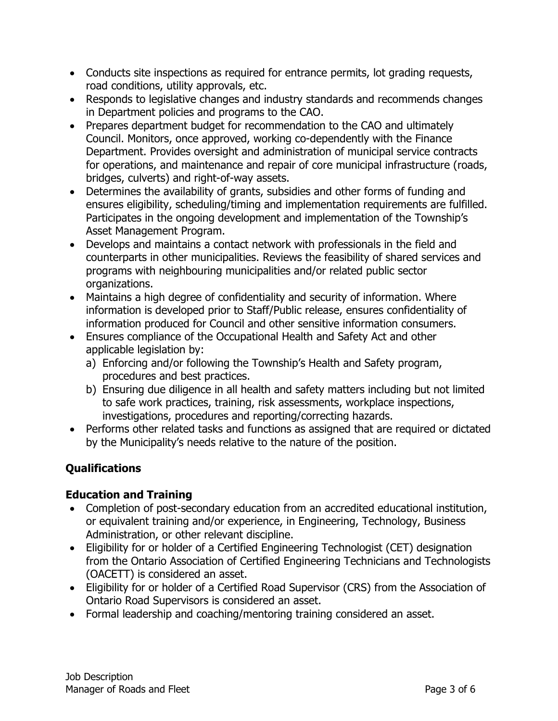- Conducts site inspections as required for entrance permits, lot grading requests, road conditions, utility approvals, etc.
- Responds to legislative changes and industry standards and recommends changes in Department policies and programs to the CAO.
- Prepares department budget for recommendation to the CAO and ultimately Council. Monitors, once approved, working co-dependently with the Finance Department. Provides oversight and administration of municipal service contracts for operations, and maintenance and repair of core municipal infrastructure (roads, bridges, culverts) and right-of-way assets.
- Determines the availability of grants, subsidies and other forms of funding and ensures eligibility, scheduling/timing and implementation requirements are fulfilled. Participates in the ongoing development and implementation of the Township's Asset Management Program.
- Develops and maintains a contact network with professionals in the field and counterparts in other municipalities. Reviews the feasibility of shared services and programs with neighbouring municipalities and/or related public sector organizations.
- Maintains a high degree of confidentiality and security of information. Where information is developed prior to Staff/Public release, ensures confidentiality of information produced for Council and other sensitive information consumers.
- Ensures compliance of the Occupational Health and Safety Act and other applicable legislation by:
	- a) Enforcing and/or following the Township's Health and Safety program, procedures and best practices.
	- b) Ensuring due diligence in all health and safety matters including but not limited to safe work practices, training, risk assessments, workplace inspections, investigations, procedures and reporting/correcting hazards.
- Performs other related tasks and functions as assigned that are required or dictated by the Municipality's needs relative to the nature of the position.

## **Qualifications**

#### **Education and Training**

- Completion of post-secondary education from an accredited educational institution, or equivalent training and/or experience, in Engineering, Technology, Business Administration, or other relevant discipline.
- Eligibility for or holder of a Certified Engineering Technologist (CET) designation from the Ontario Association of Certified Engineering Technicians and Technologists (OACETT) is considered an asset.
- Eligibility for or holder of a Certified Road Supervisor (CRS) from the Association of Ontario Road Supervisors is considered an asset.
- Formal leadership and coaching/mentoring training considered an asset.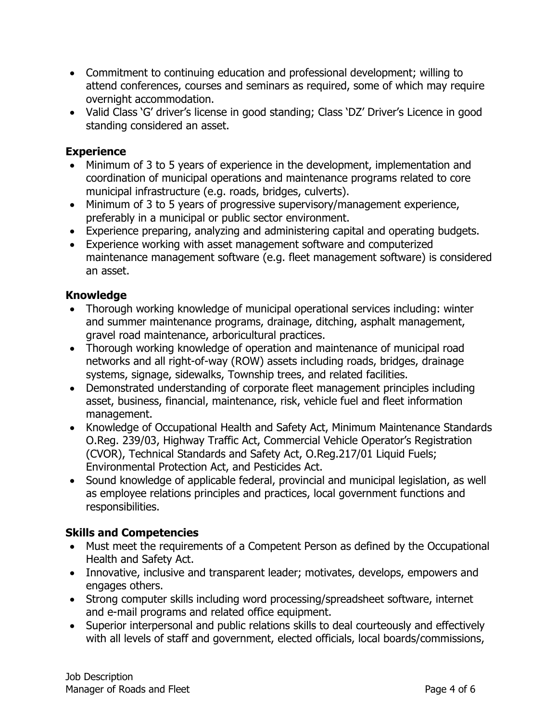- Commitment to continuing education and professional development; willing to attend conferences, courses and seminars as required, some of which may require overnight accommodation.
- Valid Class 'G' driver's license in good standing; Class 'DZ' Driver's Licence in good standing considered an asset.

#### **Experience**

- Minimum of 3 to 5 years of experience in the development, implementation and coordination of municipal operations and maintenance programs related to core municipal infrastructure (e.g. roads, bridges, culverts).
- Minimum of 3 to 5 years of progressive supervisory/management experience, preferably in a municipal or public sector environment.
- Experience preparing, analyzing and administering capital and operating budgets.
- Experience working with asset management software and computerized maintenance management software (e.g. fleet management software) is considered an asset.

## **Knowledge**

- Thorough working knowledge of municipal operational services including: winter and summer maintenance programs, drainage, ditching, asphalt management, gravel road maintenance, arboricultural practices.
- Thorough working knowledge of operation and maintenance of municipal road networks and all right-of-way (ROW) assets including roads, bridges, drainage systems, signage, sidewalks, Township trees, and related facilities.
- Demonstrated understanding of corporate fleet management principles including asset, business, financial, maintenance, risk, vehicle fuel and fleet information management.
- Knowledge of Occupational Health and Safety Act, Minimum Maintenance Standards O.Reg. 239/03, Highway Traffic Act, Commercial Vehicle Operator's Registration (CVOR), Technical Standards and Safety Act, O.Reg.217/01 Liquid Fuels; Environmental Protection Act, and Pesticides Act.
- Sound knowledge of applicable federal, provincial and municipal legislation, as well as employee relations principles and practices, local government functions and responsibilities.

## **Skills and Competencies**

- Must meet the requirements of a Competent Person as defined by the Occupational Health and Safety Act.
- Innovative, inclusive and transparent leader; motivates, develops, empowers and engages others.
- Strong computer skills including word processing/spreadsheet software, internet and e-mail programs and related office equipment.
- Superior interpersonal and public relations skills to deal courteously and effectively with all levels of staff and government, elected officials, local boards/commissions,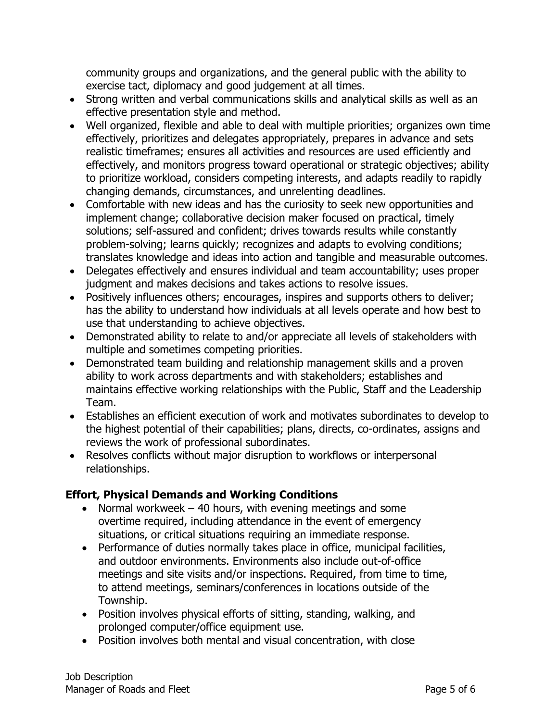community groups and organizations, and the general public with the ability to exercise tact, diplomacy and good judgement at all times.

- Strong written and verbal communications skills and analytical skills as well as an effective presentation style and method.
- Well organized, flexible and able to deal with multiple priorities; organizes own time effectively, prioritizes and delegates appropriately, prepares in advance and sets realistic timeframes; ensures all activities and resources are used efficiently and effectively, and monitors progress toward operational or strategic objectives; ability to prioritize workload, considers competing interests, and adapts readily to rapidly changing demands, circumstances, and unrelenting deadlines.
- Comfortable with new ideas and has the curiosity to seek new opportunities and implement change; collaborative decision maker focused on practical, timely solutions; self-assured and confident; drives towards results while constantly problem-solving; learns quickly; recognizes and adapts to evolving conditions; translates knowledge and ideas into action and tangible and measurable outcomes.
- Delegates effectively and ensures individual and team accountability; uses proper judgment and makes decisions and takes actions to resolve issues.
- Positively influences others; encourages, inspires and supports others to deliver; has the ability to understand how individuals at all levels operate and how best to use that understanding to achieve objectives.
- Demonstrated ability to relate to and/or appreciate all levels of stakeholders with multiple and sometimes competing priorities.
- Demonstrated team building and relationship management skills and a proven ability to work across departments and with stakeholders; establishes and maintains effective working relationships with the Public, Staff and the Leadership Team.
- Establishes an efficient execution of work and motivates subordinates to develop to the highest potential of their capabilities; plans, directs, co-ordinates, assigns and reviews the work of professional subordinates.
- Resolves conflicts without major disruption to workflows or interpersonal relationships.

## **Effort, Physical Demands and Working Conditions**

- Normal workweek  $-40$  hours, with evening meetings and some overtime required, including attendance in the event of emergency situations, or critical situations requiring an immediate response.
- Performance of duties normally takes place in office, municipal facilities, and outdoor environments. Environments also include out-of-office meetings and site visits and/or inspections. Required, from time to time, to attend meetings, seminars/conferences in locations outside of the Township.
- Position involves physical efforts of sitting, standing, walking, and prolonged computer/office equipment use.
- Position involves both mental and visual concentration, with close